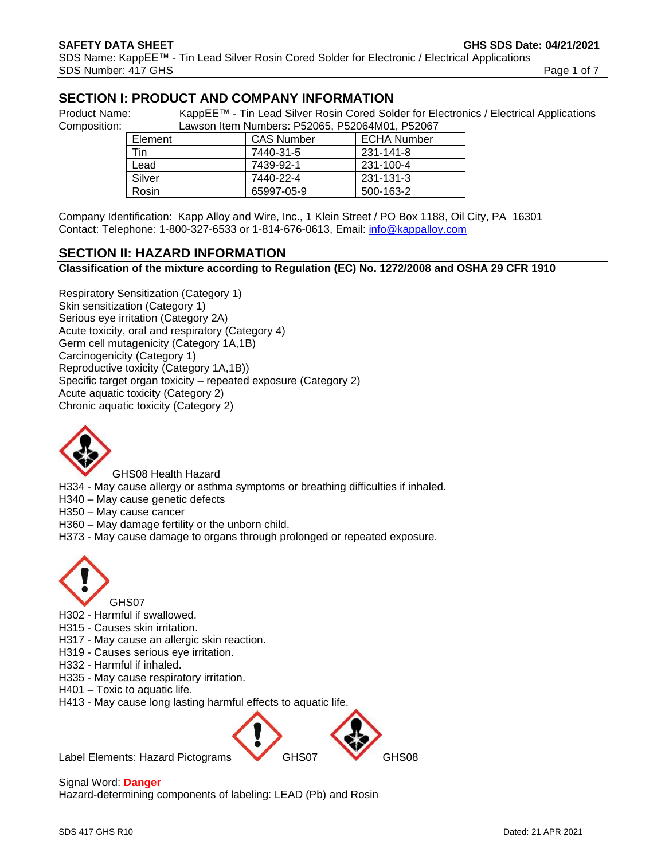# **SECTION I: PRODUCT AND COMPANY INFORMATION**

Composition:

Product Name: KappEE™ - Tin Lead Silver Rosin Cored Solder for Electronics / Electrical Applications

|                |                | Lawson item Numbers: P52065, P52064M01, P52067 |                   |                    |  |
|----------------|----------------|------------------------------------------------|-------------------|--------------------|--|
|                | Element<br>Tin |                                                | <b>CAS Number</b> | <b>ECHA Number</b> |  |
|                |                |                                                | 7440-31-5         | 231-141-8          |  |
| Lead<br>Silver |                |                                                | 7439-92-1         | 231-100-4          |  |
|                |                | 7440-22-4                                      | 231-131-3         |                    |  |
|                | Rosin          |                                                | 65997-05-9        | 500-163-2          |  |

Company Identification: Kapp Alloy and Wire, Inc., 1 Klein Street / PO Box 1188, Oil City, PA 16301 Contact: Telephone: 1-800-327-6533 or 1-814-676-0613, Email: [info@kappalloy.com](mailto:info@kappalloy.com)

# **SECTION II: HAZARD INFORMATION**

**Classification of the mixture according to Regulation (EC) No. 1272/2008 and OSHA 29 CFR 1910**

Respiratory Sensitization (Category 1) Skin sensitization (Category 1) Serious eye irritation (Category 2A) Acute toxicity, oral and respiratory (Category 4) Germ cell mutagenicity (Category 1A,1B) Carcinogenicity (Category 1) Reproductive toxicity (Category 1A,1B)) Specific target organ toxicity – repeated exposure (Category 2) Acute aquatic toxicity (Category 2) Chronic aquatic toxicity (Category 2)



GHS08 Health Hazard

H334 - May cause allergy or asthma symptoms or breathing difficulties if inhaled.

H340 – May cause genetic defects

H350 – May cause cancer

H360 – May damage fertility or the unborn child.

H373 - May cause damage to organs through prolonged or repeated exposure.



H302 - Harmful if swallowed.

H315 - Causes skin irritation.

H317 - May cause an allergic skin reaction.

- H319 Causes serious eye irritation.
- H332 Harmful if inhaled.
- H335 May cause respiratory irritation.
- H401 Toxic to aquatic life.

H413 - May cause long lasting harmful effects to aquatic life.



Signal Word: **Danger** Hazard-determining components of labeling: LEAD (Pb) and Rosin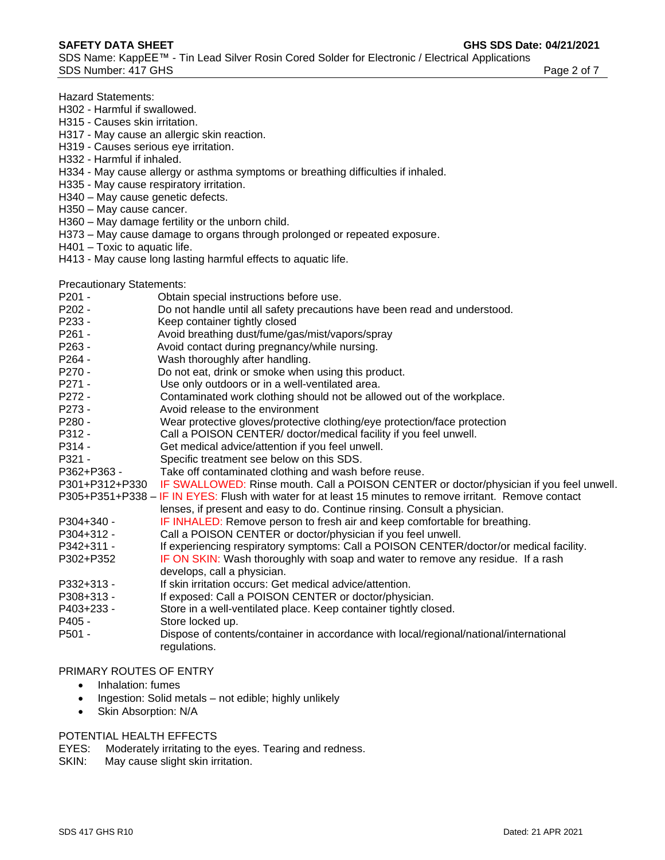- Hazard Statements:
- H302 Harmful if swallowed.
- H315 Causes skin irritation.
- H317 May cause an allergic skin reaction.
- H319 Causes serious eye irritation.
- H332 Harmful if inhaled.
- H334 May cause allergy or asthma symptoms or breathing difficulties if inhaled.
- H335 May cause respiratory irritation.
- H340 May cause genetic defects.
- H350 May cause cancer.
- H360 May damage fertility or the unborn child.
- H373 May cause damage to organs through prolonged or repeated exposure.
- H401 Toxic to aquatic life. H413 - May cause long lasting harmful effects to aquatic life.

Precautionary Statements:

- P201 **Obtain special instructions before use.**
- P202 Do not handle until all safety precautions have been read and understood.
- P233 Keep container tightly closed
- P261 Avoid breathing dust/fume/gas/mist/vapors/spray
- P263 Avoid contact during pregnancy/while nursing.
- P264 Wash thoroughly after handling.
- P270 Do not eat, drink or smoke when using this product.
- P271 Use only outdoors or in a well-ventilated area.
- P272 Contaminated work clothing should not be allowed out of the workplace.
- P273 Avoid release to the environment
- P280 Wear protective gloves/protective clothing/eye protection/face protection
- P312 Call a POISON CENTER/ doctor/medical facility if you feel unwell.
- P314 Get medical advice/attention if you feel unwell.
- P321 Specific treatment see below on this SDS.<br>P362+P363 Take off contaminated clothing and wash b
- Take off contaminated clothing and wash before reuse.
- P301+P312+P330 IF SWALLOWED: Rinse mouth. Call a POISON CENTER or doctor/physician if you feel unwell.
- P305+P351+P338 IF IN EYES: Flush with water for at least 15 minutes to remove irritant. Remove contact
- lenses, if present and easy to do. Continue rinsing. Consult a physician.
- P304+340 IF INHALED: Remove person to fresh air and keep comfortable for breathing.
- P304+312 Call a POISON CENTER or doctor/physician if you feel unwell.
- P342+311 If experiencing respiratory symptoms: Call a POISON CENTER/doctor/or medical facility.
- P302+P352 **IF ON SKIN:** Wash thoroughly with soap and water to remove any residue. If a rash develops, call a physician.
- P332+313 If skin irritation occurs: Get medical advice/attention.
- P308+313 If exposed: Call a POISON CENTER or doctor/physician.
- P403+233 Store in a well-ventilated place. Keep container tightly closed.
- P405 Store locked up.
- P501 Dispose of contents/container in accordance with local/regional/national/international regulations.

#### PRIMARY ROUTES OF ENTRY

- Inhalation: fumes
- Ingestion: Solid metals not edible; highly unlikely
- Skin Absorption: N/A

#### POTENTIAL HEALTH EFFECTS

EYES: Moderately irritating to the eyes. Tearing and redness.

SKIN: May cause slight skin irritation.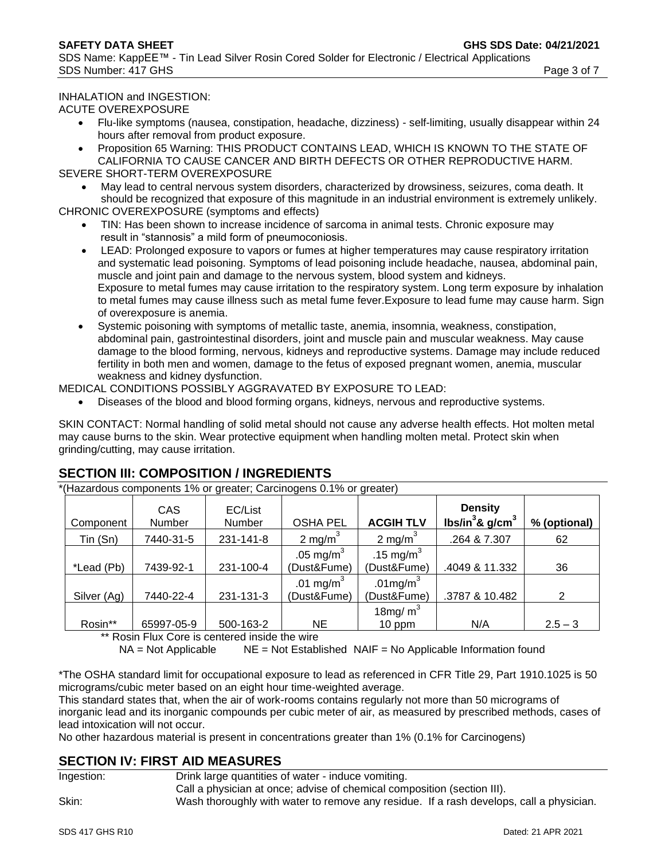#### INHALATION and INGESTION:

ACUTE OVEREXPOSURE

- Flu-like symptoms (nausea, constipation, headache, dizziness) self-limiting, usually disappear within 24 hours after removal from product exposure.
- Proposition 65 Warning: THIS PRODUCT CONTAINS LEAD, WHICH IS KNOWN TO THE STATE OF CALIFORNIA TO CAUSE CANCER AND BIRTH DEFECTS OR OTHER REPRODUCTIVE HARM. SEVERE SHORT-TERM OVEREXPOSURE
- May lead to central nervous system disorders, characterized by drowsiness, seizures, coma death. It should be recognized that exposure of this magnitude in an industrial environment is extremely unlikely.

CHRONIC OVEREXPOSURE (symptoms and effects)

- TIN: Has been shown to increase incidence of sarcoma in animal tests. Chronic exposure may result in "stannosis" a mild form of pneumoconiosis.
- LEAD: Prolonged exposure to vapors or fumes at higher temperatures may cause respiratory irritation and systematic lead poisoning. Symptoms of lead poisoning include headache, nausea, abdominal pain, muscle and joint pain and damage to the nervous system, blood system and kidneys. Exposure to metal fumes may cause irritation to the respiratory system. Long term exposure by inhalation to metal fumes may cause illness such as metal fume fever.Exposure to lead fume may cause harm. Sign of overexposure is anemia.
- Systemic poisoning with symptoms of metallic taste, anemia, insomnia, weakness, constipation, abdominal pain, gastrointestinal disorders, joint and muscle pain and muscular weakness. May cause damage to the blood forming, nervous, kidneys and reproductive systems. Damage may include reduced fertility in both men and women, damage to the fetus of exposed pregnant women, anemia, muscular weakness and kidney dysfunction.

MEDICAL CONDITIONS POSSIBLY AGGRAVATED BY EXPOSURE TO LEAD:

• Diseases of the blood and blood forming organs, kidneys, nervous and reproductive systems.

SKIN CONTACT: Normal handling of solid metal should not cause any adverse health effects. Hot molten metal may cause burns to the skin. Wear protective equipment when handling molten metal. Protect skin when grinding/cutting, may cause irritation.

# **SECTION III: COMPOSITION / INGREDIENTS**

\*(Hazardous components 1% or greater; Carcinogens 0.1% or greater)

| Component   | CAS<br>Number | EC/List<br>Number | <b>OSHA PEL</b>                      | <b>ACGIH TLV</b>            | <b>Density</b><br>lbs/in <sup>3</sup> & $g/cm3$ | % (optional) |
|-------------|---------------|-------------------|--------------------------------------|-----------------------------|-------------------------------------------------|--------------|
| Tin (Sn)    | 7440-31-5     | 231-141-8         | 2 mg/m $3$                           | 2 mg/m $3$                  | .264 & 7.307                                    | 62           |
| *Lead (Pb)  | 7439-92-1     | 231-100-4         | .05 mg/ $m3$<br>(Dust&Fume)          | .15 mg/ $m3$<br>(Dust&Fume) | .4049 & 11.332                                  | 36           |
| Silver (Ag) | 7440-22-4     | 231-131-3         | .01 mg/m <sup>3</sup><br>(Dust&Fume) | .01 $mg/m3$<br>(Dust&Fume)  | .3787 & 10.482                                  |              |
| Rosin**     | 65997-05-9    | 500-163-2         | ΝE                                   | 18mg/ $m3$<br>10 ppm        | N/A                                             | $2.5 - 3$    |

\*\* Rosin Flux Core is centered inside the wire

 $NA = Not$  Applicable  $NE = Not$  Established  $NAIF = No$  Applicable Information found

\*The OSHA standard limit for occupational exposure to lead as referenced in CFR Title 29, Part 1910.1025 is 50 micrograms/cubic meter based on an eight hour time-weighted average.

This standard states that, when the air of work-rooms contains regularly not more than 50 micrograms of inorganic lead and its inorganic compounds per cubic meter of air, as measured by prescribed methods, cases of lead intoxication will not occur.

No other hazardous material is present in concentrations greater than 1% (0.1% for Carcinogens)

# **SECTION IV: FIRST AID MEASURES**

| Ingestion: | Drink large quantities of water - induce vomiting.                                      |  |  |
|------------|-----------------------------------------------------------------------------------------|--|--|
|            | Call a physician at once; advise of chemical composition (section III).                 |  |  |
| Skin:      | Wash thoroughly with water to remove any residue. If a rash develops, call a physician. |  |  |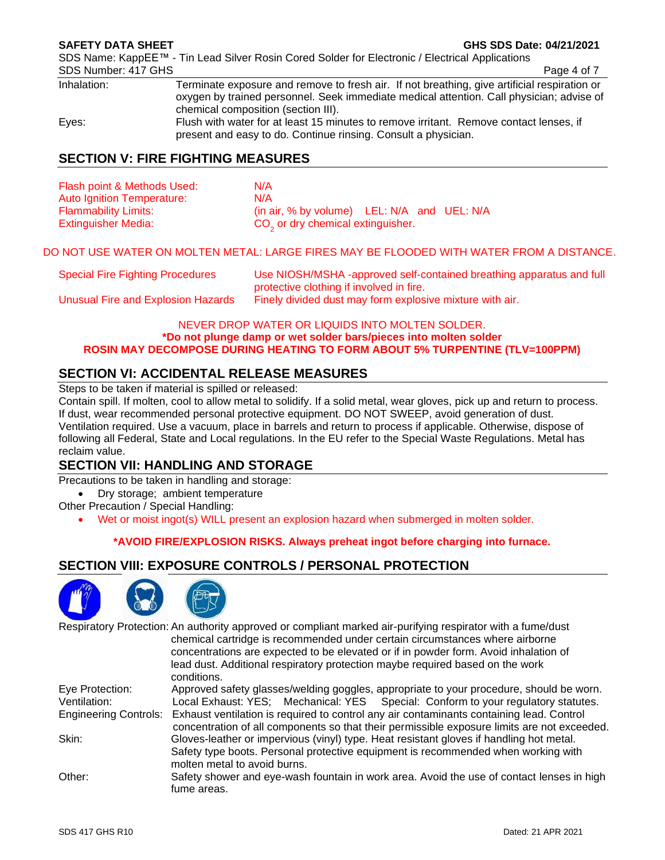SDS Name: KappEE™ - Tin Lead Silver Rosin Cored Solder for Electronic / Electrical Applications SDS Number: 417 GHS Page 4 of 7

Inhalation: Terminate exposure and remove to fresh air. If not breathing, give artificial respiration or oxygen by trained personnel. Seek immediate medical attention. Call physician; advise of chemical composition (section III). Eyes: Flush with water for at least 15 minutes to remove irritant. Remove contact lenses, if present and easy to do. Continue rinsing. Consult a physician.

# **SECTION V: FIRE FIGHTING MEASURES**

| Flash point & Methods Used: | N/A                                               |
|-----------------------------|---------------------------------------------------|
| Auto Ignition Temperature:  | N/A                                               |
| <b>Flammability Limits:</b> | (in air, $%$ by volume) LEL: $N/A$ and UEL: $N/A$ |
| <b>Extinguisher Media:</b>  | CO <sub>2</sub> or dry chemical extinguisher.     |

#### DO NOT USE WATER ON MOLTEN METAL: LARGE FIRES MAY BE FLOODED WITH WATER FROM A DISTANCE.

| <b>Special Fire Fighting Procedures</b> | Use NIOSH/MSHA -approved self-contained breathing apparatus and full |
|-----------------------------------------|----------------------------------------------------------------------|
|                                         | protective clothing if involved in fire.                             |
| Unusual Fire and Explosion Hazards      | Finely divided dust may form explosive mixture with air.             |

#### NEVER DROP WATER OR LIQUIDS INTO MOLTEN SOLDER. **\*Do not plunge damp or wet solder bars/pieces into molten solder ROSIN MAY DECOMPOSE DURING HEATING TO FORM ABOUT 5% TURPENTINE (TLV=100PPM)**

# **SECTION VI: ACCIDENTAL RELEASE MEASURES**

Steps to be taken if material is spilled or released:

Contain spill. If molten, cool to allow metal to solidify. If a solid metal, wear gloves, pick up and return to process. If dust, wear recommended personal protective equipment. DO NOT SWEEP, avoid generation of dust. Ventilation required. Use a vacuum, place in barrels and return to process if applicable. Otherwise, dispose of following all Federal, State and Local regulations. In the EU refer to the Special Waste Regulations. Metal has reclaim value.

# **SECTION VII: HANDLING AND STORAGE**

Precautions to be taken in handling and storage:

• Dry storage; ambient temperature

Other Precaution / Special Handling:

• Wet or moist ingot(s) WILL present an explosion hazard when submerged in molten solder.

#### **\*AVOID FIRE/EXPLOSION RISKS. Always preheat ingot before charging into furnace.**

# **SECTION VIII: EXPOSURE CONTROLS / PERSONAL PROTECTION**



|                 | Respiratory Protection: An authority approved or compliant marked air-purifying respirator with a fume/dust                                                                                                   |
|-----------------|---------------------------------------------------------------------------------------------------------------------------------------------------------------------------------------------------------------|
|                 | chemical cartridge is recommended under certain circumstances where airborne                                                                                                                                  |
|                 | concentrations are expected to be elevated or if in powder form. Avoid inhalation of                                                                                                                          |
|                 | lead dust. Additional respiratory protection maybe required based on the work<br>conditions.                                                                                                                  |
| Eye Protection: | Approved safety glasses/welding goggles, appropriate to your procedure, should be worn.                                                                                                                       |
| Ventilation:    | Local Exhaust: YES; Mechanical: YES Special: Conform to your regulatory statutes.                                                                                                                             |
|                 | Engineering Controls: Exhaust ventilation is required to control any air contaminants containing lead. Control<br>concentration of all components so that their permissible exposure limits are not exceeded. |
| Skin:           | Gloves-leather or impervious (vinyl) type. Heat resistant gloves if handling hot metal.<br>Safety type boots. Personal protective equipment is recommended when working with<br>molten metal to avoid burns.  |
| Other:          | Safety shower and eye-wash fountain in work area. Avoid the use of contact lenses in high<br>fume areas.                                                                                                      |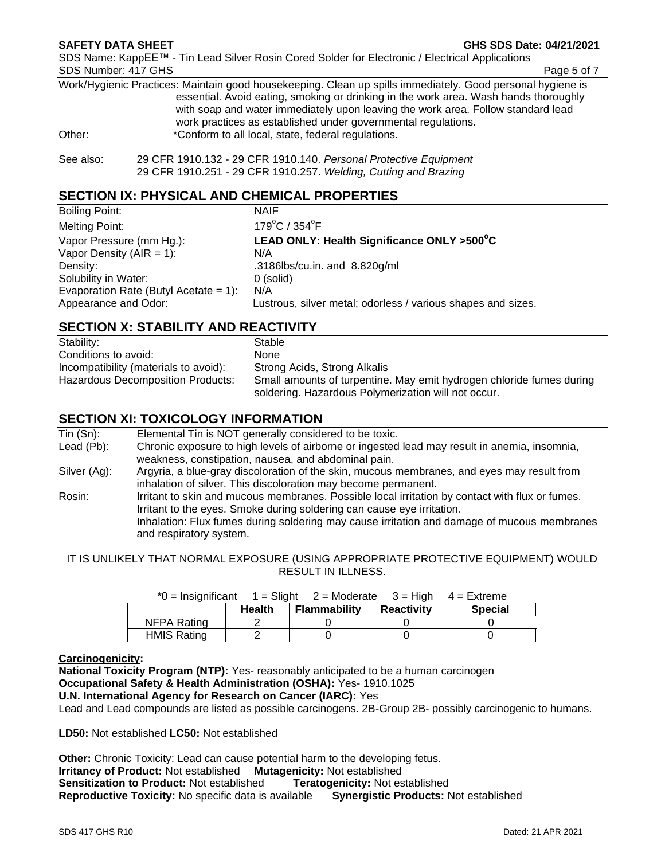**SAFETY DATA SHEET GHS SDS Date: 04/21/2021**

SDS Name: KappEE™ - Tin Lead Silver Rosin Cored Solder for Electronic / Electrical Applications SDS Number: 417 GHS Page 5 of 7

Work/Hygienic Practices: Maintain good housekeeping. Clean up spills immediately. Good personal hygiene is essential. Avoid eating, smoking or drinking in the work area. Wash hands thoroughly with soap and water immediately upon leaving the work area. Follow standard lead work practices as established under governmental regulations. Other: **\***Conform to all local, state, federal regulations.

# **SECTION IX: PHYSICAL AND CHEMICAL PROPERTIES**

| <b>NAIF</b>                                                  |
|--------------------------------------------------------------|
| $179^{\circ}$ C / $354^{\circ}$ F                            |
| LEAD ONLY: Health Significance ONLY >500°C                   |
| N/A                                                          |
| .3186lbs/cu.in. and 8.820g/ml                                |
| 0 (solid)                                                    |
| N/A                                                          |
| Lustrous, silver metal; odorless / various shapes and sizes. |
|                                                              |

#### **SECTION X: STABILITY AND REACTIVITY**

| Stability:                            | Stable                                                                                                                      |
|---------------------------------------|-----------------------------------------------------------------------------------------------------------------------------|
| Conditions to avoid:                  | None                                                                                                                        |
| Incompatibility (materials to avoid): | Strong Acids, Strong Alkalis                                                                                                |
| Hazardous Decomposition Products:     | Small amounts of turpentine. May emit hydrogen chloride fumes during<br>soldering. Hazardous Polymerization will not occur. |

# **SECTION XI: TOXICOLOGY INFORMATION**

| $T$ in $(Sn)$ : | Elemental Tin is NOT generally considered to be toxic.                                                                                                                                                                                                                                              |
|-----------------|-----------------------------------------------------------------------------------------------------------------------------------------------------------------------------------------------------------------------------------------------------------------------------------------------------|
| Lead (Pb):      | Chronic exposure to high levels of airborne or ingested lead may result in anemia, insomnia,<br>weakness, constipation, nausea, and abdominal pain.                                                                                                                                                 |
| Silver (Ag):    | Argyria, a blue-gray discoloration of the skin, mucous membranes, and eyes may result from<br>inhalation of silver. This discoloration may become permanent.                                                                                                                                        |
| Rosin:          | Irritant to skin and mucous membranes. Possible local irritation by contact with flux or fumes.<br>Irritant to the eyes. Smoke during soldering can cause eye irritation.<br>Inhalation: Flux fumes during soldering may cause irritation and damage of mucous membranes<br>and respiratory system. |

IT IS UNLIKELY THAT NORMAL EXPOSURE (USING APPROPRIATE PROTECTIVE EQUIPMENT) WOULD RESULT IN ILLNESS.

| $^*0 =$ Insignificant |               | $1 =$ Slight 2 = Moderate 3 = High 4 = Extreme |                   |                |
|-----------------------|---------------|------------------------------------------------|-------------------|----------------|
|                       | <b>Health</b> | Flammability                                   | <b>Reactivity</b> | <b>Special</b> |
| NFPA Rating           |               |                                                |                   |                |
| <b>HMIS Rating</b>    |               |                                                |                   |                |

# $*$ 0 = Insignificant  $\overline{A}$  =  $\overline{S}$ light 2 = Moderate 3 = High 4 = Extreme 3 = Extreme 3 = Extreme 3 = Extreme 3 = Extreme 3 = Extreme 3 = Extreme 3 = Extreme 3 = Extreme 3 = Extreme 3 = Extreme 3 = Extreme 3 = Extre

#### **Carcinogenicity:**

**National Toxicity Program (NTP):** Yes- reasonably anticipated to be a human carcinogen **Occupational Safety & Health Administration (OSHA):** Yes- 1910.1025 **U.N. International Agency for Research on Cancer (IARC):** Yes

Lead and Lead compounds are listed as possible carcinogens. 2B-Group 2B- possibly carcinogenic to humans.

**LD50:** Not established **LC50:** Not established

**Other:** Chronic Toxicity: Lead can cause potential harm to the developing fetus. **Irritancy of Product:** Not established **Mutagenicity:** Not established **Sensitization to Product:** Not established **Teratogenicity:** Not established **Reproductive Toxicity:** No specific data is available **Synergistic Products:** Not established

See also: 29 CFR 1910.132 - 29 CFR 1910.140. *Personal Protective Equipment* 29 CFR 1910.251 - 29 CFR 1910.257. *Welding, Cutting and Brazing*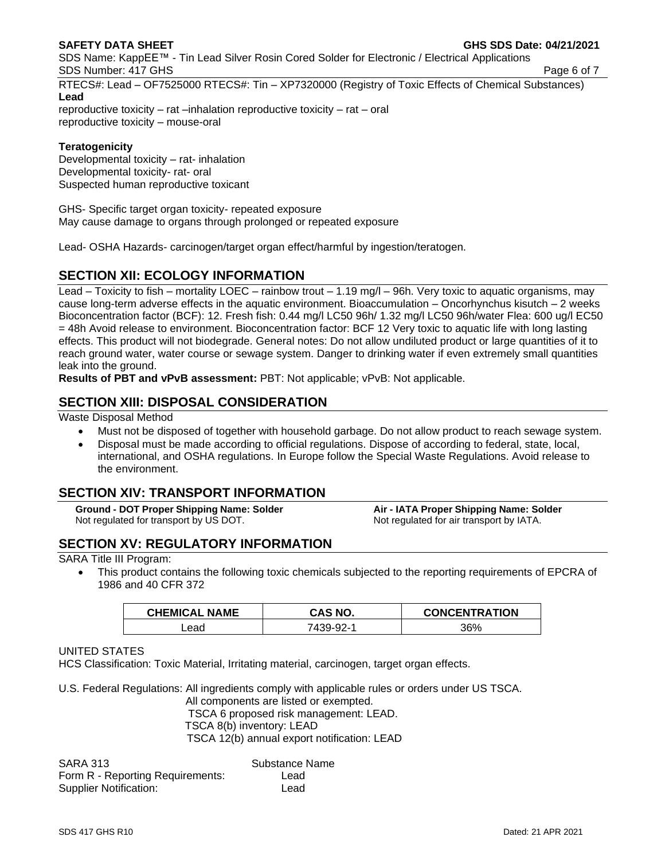SDS Name: KappEE™ - Tin Lead Silver Rosin Cored Solder for Electronic / Electrical Applications SDS Number: 417 GHS Page 6 of 7

RTECS#: Lead – OF7525000 RTECS#: Tin – XP7320000 (Registry of Toxic Effects of Chemical Substances) **Lead**

reproductive toxicity – rat –inhalation reproductive toxicity – rat – oral reproductive toxicity – mouse-oral

#### **Teratogenicity**

Developmental toxicity – rat- inhalation Developmental toxicity- rat- oral Suspected human reproductive toxicant

GHS- Specific target organ toxicity- repeated exposure May cause damage to organs through prolonged or repeated exposure

Lead- OSHA Hazards- carcinogen/target organ effect/harmful by ingestion/teratogen.

# **SECTION XII: ECOLOGY INFORMATION**

Lead – Toxicity to fish – mortality LOEC – rainbow trout – 1.19 mg/l – 96h. Very toxic to aquatic organisms, may cause long-term adverse effects in the aquatic environment. Bioaccumulation – Oncorhynchus kisutch – 2 weeks Bioconcentration factor (BCF): 12. Fresh fish: 0.44 mg/l LC50 96h/ 1.32 mg/l LC50 96h/water Flea: 600 ug/l EC50 = 48h Avoid release to environment. Bioconcentration factor: BCF 12 Very toxic to aquatic life with long lasting effects. This product will not biodegrade. General notes: Do not allow undiluted product or large quantities of it to reach ground water, water course or sewage system. Danger to drinking water if even extremely small quantities leak into the ground.

**Results of PBT and vPvB assessment:** PBT: Not applicable; vPvB: Not applicable.

# **SECTION XIII: DISPOSAL CONSIDERATION**

Waste Disposal Method

- Must not be disposed of together with household garbage. Do not allow product to reach sewage system.
- Disposal must be made according to official regulations. Dispose of according to federal, state, local, international, and OSHA regulations. In Europe follow the Special Waste Regulations. Avoid release to the environment.

# **SECTION XIV: TRANSPORT INFORMATION**

**Ground - DOT Proper Shipping Name: Solder Air - IATA Proper Shipping Name: Solder** Not regulated for transport by US DOT. Not regulated for air transport by IATA.

# **SECTION XV: REGULATORY INFORMATION**

SARA Title III Program:

This product contains the following toxic chemicals subjected to the reporting requirements of EPCRA of 1986 and 40 CFR 372

| <b>CHEMICAL NAME</b> | CAS NO.   | <b>CONCENTRATION</b> |
|----------------------|-----------|----------------------|
| .ead                 | 7439-92-1 | 36%                  |

#### UNITED STATES

HCS Classification: Toxic Material, Irritating material, carcinogen, target organ effects.

U.S. Federal Regulations: All ingredients comply with applicable rules or orders under US TSCA.

All components are listed or exempted. TSCA 6 proposed risk management: LEAD. TSCA 8(b) inventory: LEAD TSCA 12(b) annual export notification: LEAD

| <b>SARA 313</b>                  | Substance Name |
|----------------------------------|----------------|
| Form R - Reporting Requirements: | Lead           |
| <b>Supplier Notification:</b>    | Lead           |